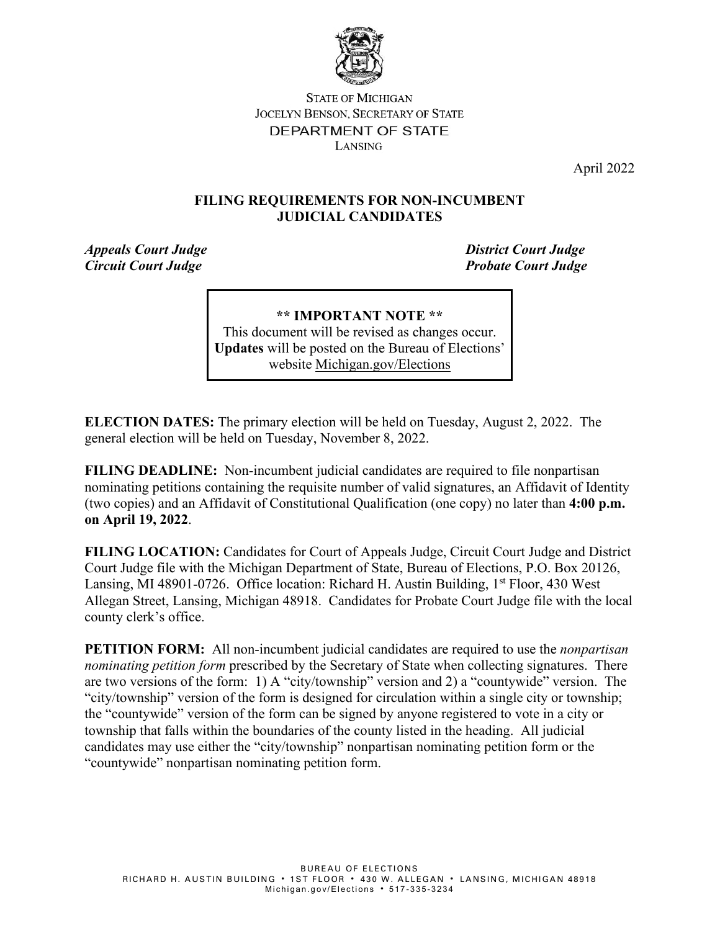

#### **STATE OF MICHIGAN JOCELYN BENSON, SECRETARY OF STATE** DEPARTMENT OF STATE LANSING

April 2022

#### **FILING REQUIREMENTS FOR NON-INCUMBENT JUDICIAL CANDIDATES**

*Appeals Court Judge District Court Judge Circuit Court Judge Probate Court Judge*

**\*\* IMPORTANT NOTE \*\***  This document will be revised as changes occur. **Updates** will be posted on the Bureau of Elections' website [Michigan.gov/Elections](https://www.michigan.gov/sos/0,4670,7-127-1633---,00.html)

**ELECTION DATES:** The primary election will be held on Tuesday, August 2, 2022. The general election will be held on Tuesday, November 8, 2022.

**FILING DEADLINE:** Non-incumbent judicial candidates are required to file nonpartisan nominating petitions containing the requisite number of valid signatures, an Affidavit of Identity (two copies) and an Affidavit of Constitutional Qualification (one copy) no later than **4:00 p.m. on April 19, 2022**.

**FILING LOCATION:** Candidates for Court of Appeals Judge, Circuit Court Judge and District Court Judge file with the Michigan Department of State, Bureau of Elections, P.O. Box 20126, Lansing, MI 48901-0726. Office location: Richard H. Austin Building,  $1<sup>st</sup>$  Floor, 430 West Allegan Street, Lansing, Michigan 48918. Candidates for Probate Court Judge file with the local county clerk's office.

**PETITION FORM:** All non-incumbent judicial candidates are required to use the *nonpartisan nominating petition form* prescribed by the Secretary of State when collecting signatures. There are two versions of the form: 1) A "city/township" version and 2) a "countywide" version. The "city/township" version of the form is designed for circulation within a single city or township; the "countywide" version of the form can be signed by anyone registered to vote in a city or township that falls within the boundaries of the county listed in the heading. All judicial candidates may use either the "city/township" nonpartisan nominating petition form or the "countywide" nonpartisan nominating petition form.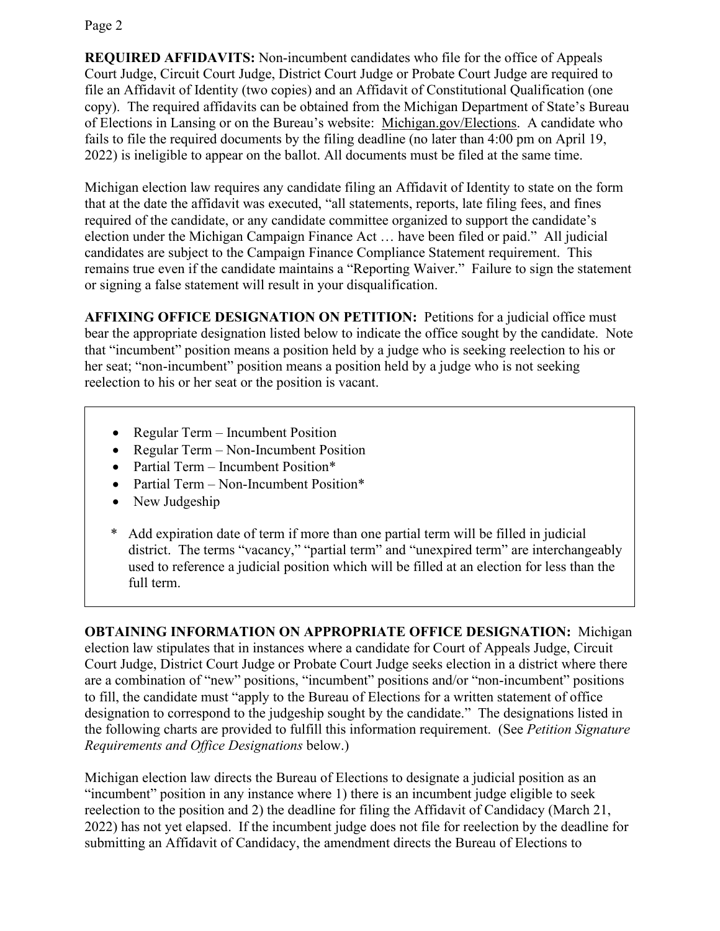Page 2

**REQUIRED AFFIDAVITS:** Non-incumbent candidates who file for the office of Appeals Court Judge, Circuit Court Judge, District Court Judge or Probate Court Judge are required to file an Affidavit of Identity (two copies) and an Affidavit of Constitutional Qualification (one copy). The required affidavits can be obtained from the Michigan Department of State's Bureau of Elections in Lansing or on the Bureau's website: [Michigan.gov/Elections.](https://www.michigan.gov/sos/0,4670,7-127-1633---,00.html) A candidate who fails to file the required documents by the filing deadline (no later than 4:00 pm on April 19, 2022) is ineligible to appear on the ballot. All documents must be filed at the same time.

Michigan election law requires any candidate filing an Affidavit of Identity to state on the form that at the date the affidavit was executed, "all statements, reports, late filing fees, and fines required of the candidate, or any candidate committee organized to support the candidate's election under the Michigan Campaign Finance Act … have been filed or paid." All judicial candidates are subject to the Campaign Finance Compliance Statement requirement. This remains true even if the candidate maintains a "Reporting Waiver." Failure to sign the statement or signing a false statement will result in your disqualification.

**AFFIXING OFFICE DESIGNATION ON PETITION:** Petitions for a judicial office must bear the appropriate designation listed below to indicate the office sought by the candidate. Note that "incumbent" position means a position held by a judge who is seeking reelection to his or her seat; "non-incumbent" position means a position held by a judge who is not seeking reelection to his or her seat or the position is vacant.

- Regular Term Incumbent Position
- Regular Term Non-Incumbent Position
- Partial Term Incumbent Position\*
- Partial Term Non-Incumbent Position\*
- New Judgeship
- \* Add expiration date of term if more than one partial term will be filled in judicial district. The terms "vacancy," "partial term" and "unexpired term" are interchangeably used to reference a judicial position which will be filled at an election for less than the full term.

**OBTAINING INFORMATION ON APPROPRIATE OFFICE DESIGNATION:** Michigan election law stipulates that in instances where a candidate for Court of Appeals Judge, Circuit Court Judge, District Court Judge or Probate Court Judge seeks election in a district where there are a combination of "new" positions, "incumbent" positions and/or "non-incumbent" positions to fill, the candidate must "apply to the Bureau of Elections for a written statement of office designation to correspond to the judgeship sought by the candidate." The designations listed in the following charts are provided to fulfill this information requirement. (See *Petition Signature Requirements and Office Designations* below.)

Michigan election law directs the Bureau of Elections to designate a judicial position as an "incumbent" position in any instance where 1) there is an incumbent judge eligible to seek reelection to the position and 2) the deadline for filing the Affidavit of Candidacy (March 21, 2022) has not yet elapsed. If the incumbent judge does not file for reelection by the deadline for submitting an Affidavit of Candidacy, the amendment directs the Bureau of Elections to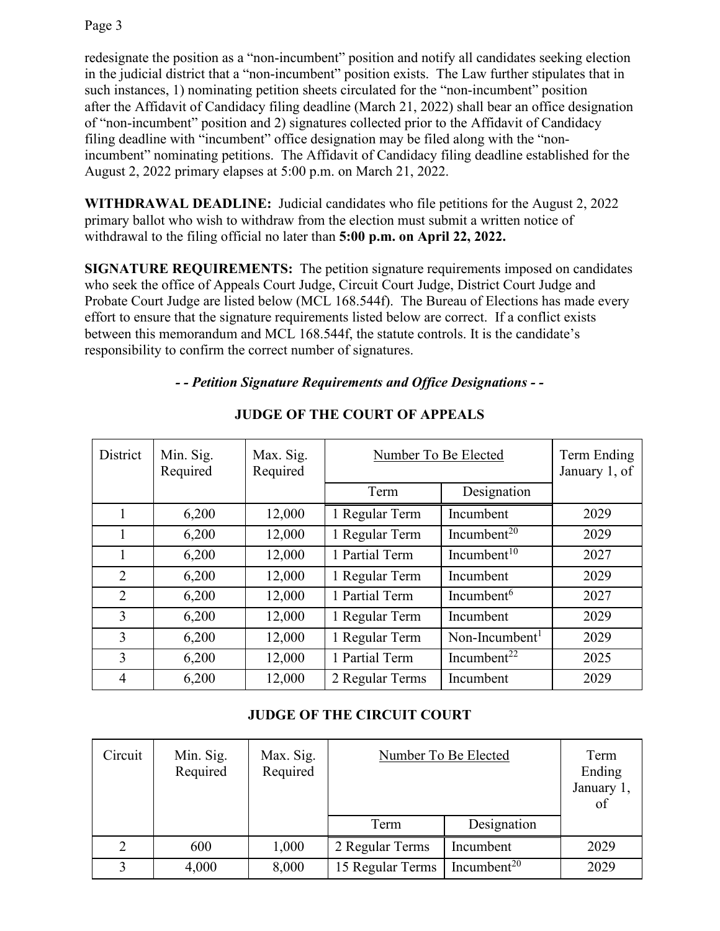redesignate the position as a "non-incumbent" position and notify all candidates seeking election in the judicial district that a "non-incumbent" position exists. The Law further stipulates that in such instances, 1) nominating petition sheets circulated for the "non-incumbent" position after the Affidavit of Candidacy filing deadline (March 21, 2022) shall bear an office designation of "non-incumbent" position and 2) signatures collected prior to the Affidavit of Candidacy filing deadline with "incumbent" office designation may be filed along with the "nonincumbent" nominating petitions. The Affidavit of Candidacy filing deadline established for the August 2, 2022 primary elapses at 5:00 p.m. on March 21, 2022.

**WITHDRAWAL DEADLINE:** Judicial candidates who file petitions for the August 2, 2022 primary ballot who wish to withdraw from the election must submit a written notice of withdrawal to the filing official no later than **5:00 p.m. on April 22, 2022.**

**SIGNATURE REQUIREMENTS:** The petition signature requirements imposed on candidates who seek the office of Appeals Court Judge, Circuit Court Judge, District Court Judge and Probate Court Judge are listed below (MCL 168.544f). The Bureau of Elections has made every effort to ensure that the signature requirements listed below are correct. If a conflict exists between this memorandum and MCL 168.544f, the statute controls. It is the candidate's responsibility to confirm the correct number of signatures.

### *- - Petition Signature Requirements and Office Designations - -*

| District       | Min. Sig.<br>Required | Max. Sig.<br>Required | Number To Be Elected |                            | Term Ending<br>January 1, of |
|----------------|-----------------------|-----------------------|----------------------|----------------------------|------------------------------|
|                |                       |                       | Term                 | Designation                |                              |
|                | 6,200                 | 12,000                | 1 Regular Term       | Incumbent                  | 2029                         |
|                | 6,200                 | 12,000                | 1 Regular Term       | Incumbent <sup>20</sup>    | 2029                         |
|                | 6,200                 | 12,000                | 1 Partial Term       | Incumbent <sup>10</sup>    | 2027                         |
| $\overline{2}$ | 6,200                 | 12,000                | 1 Regular Term       | Incumbent                  | 2029                         |
| $\overline{2}$ | 6,200                 | 12,000                | 1 Partial Term       | Incumbent $6$              | 2027                         |
| 3              | 6,200                 | 12,000                | 1 Regular Term       | Incumbent                  | 2029                         |
| 3              | 6,200                 | 12,000                | 1 Regular Term       | Non-Incumbent <sup>1</sup> | 2029                         |
| 3              | 6,200                 | 12,000                | 1 Partial Term       | Incumbent <sup>22</sup>    | 2025                         |
| $\overline{4}$ | 6,200                 | 12,000                | 2 Regular Terms      | Incumbent                  | 2029                         |

## **JUDGE OF THE COURT OF APPEALS**

## **JUDGE OF THE CIRCUIT COURT**

| Circuit | Min. Sig.<br>Required | Max. Sig.<br>Required | Number To Be Elected |                         | Term<br>Ending<br>January 1,<br>of |
|---------|-----------------------|-----------------------|----------------------|-------------------------|------------------------------------|
|         |                       |                       | Term                 | Designation             |                                    |
|         | 600                   | 1,000                 | 2 Regular Terms      | Incumbent               | 2029                               |
|         | 4,000                 | 8,000                 | 15 Regular Terms     | Incumbent <sup>20</sup> | 2029                               |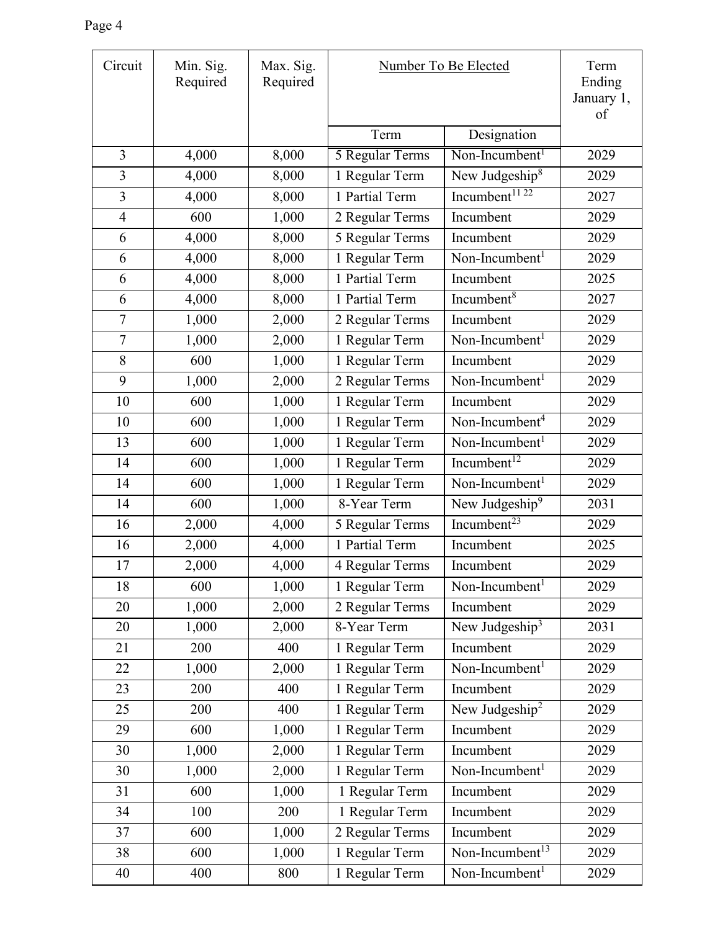| Circuit        | Min. Sig.<br>Required | Max. Sig.<br>Required | Number To Be Elected |                             | Term<br>Ending<br>January 1,<br>of |
|----------------|-----------------------|-----------------------|----------------------|-----------------------------|------------------------------------|
|                |                       |                       | Term                 | Designation                 |                                    |
| 3              | 4,000                 | 8,000                 | 5 Regular Terms      | Non-Incumbent <sup>1</sup>  | 2029                               |
| 3              | 4,000                 | 8,000                 | 1 Regular Term       | New Judgeship <sup>8</sup>  | 2029                               |
| $\overline{3}$ | 4,000                 | 8,000                 | 1 Partial Term       | Incumbent <sup>1122</sup>   | 2027                               |
| $\overline{4}$ | 600                   | 1,000                 | 2 Regular Terms      | Incumbent                   | 2029                               |
| 6              | 4,000                 | 8,000                 | 5 Regular Terms      | Incumbent                   | 2029                               |
| 6              | 4,000                 | 8,000                 | 1 Regular Term       | Non-Incumbent <sup>1</sup>  | 2029                               |
| 6              | 4,000                 | 8,000                 | 1 Partial Term       | Incumbent                   | 2025                               |
| 6              | 4,000                 | 8,000                 | 1 Partial Term       | Incumbent $8$               | 2027                               |
| $\overline{7}$ | 1,000                 | 2,000                 | 2 Regular Terms      | Incumbent                   | 2029                               |
| $\overline{7}$ | 1,000                 | 2,000                 | 1 Regular Term       | Non-Incumbent <sup>1</sup>  | 2029                               |
| 8              | 600                   | 1,000                 | 1 Regular Term       | Incumbent                   | 2029                               |
| 9              | 1,000                 | 2,000                 | 2 Regular Terms      | Non-Incumbent <sup>1</sup>  | 2029                               |
| 10             | 600                   | 1,000                 | 1 Regular Term       | Incumbent                   | 2029                               |
| 10             | 600                   | 1,000                 | 1 Regular Term       | Non-Incumbent <sup>4</sup>  | 2029                               |
| 13             | 600                   | 1,000                 | 1 Regular Term       | Non-Incumbent <sup>1</sup>  | 2029                               |
| 14             | 600                   | 1,000                 | 1 Regular Term       | Incumbent <sup>12</sup>     | 2029                               |
| 14             | 600                   | 1,000                 | 1 Regular Term       | Non-Incumbent <sup>1</sup>  | 2029                               |
| 14             | 600                   | 1,000                 | 8-Year Term          | New Judgeship <sup>9</sup>  | 2031                               |
| 16             | 2,000                 | 4,000                 | 5 Regular Terms      | Incumbent <sup>23</sup>     | 2029                               |
| 16             | 2,000                 | 4,000                 | 1 Partial Term       | Incumbent                   | 2025                               |
| 17             | 2,000                 | 4,000                 | 4 Regular Terms      | Incumbent                   | 2029                               |
| 18             | 600                   | 1,000                 | 1 Regular Term       | Non-Incumbent <sup>1</sup>  | 2029                               |
| 20             | 1,000                 | 2,000                 | 2 Regular Terms      | Incumbent                   | 2029                               |
| 20             | 1,000                 | 2,000                 | 8-Year Term          | New Judgeship <sup>3</sup>  | 2031                               |
| 21             | 200                   | 400                   | 1 Regular Term       | Incumbent                   | 2029                               |
| 22             | 1,000                 | 2,000                 | 1 Regular Term       | Non-Incumbent $1$           | 2029                               |
| 23             | 200                   | 400                   | 1 Regular Term       | Incumbent                   | 2029                               |
| 25             | 200                   | 400                   | 1 Regular Term       | New Judgeship <sup>2</sup>  | 2029                               |
| 29             | 600                   | 1,000                 | 1 Regular Term       | Incumbent                   | 2029                               |
| 30             | 1,000                 | 2,000                 | 1 Regular Term       | Incumbent                   | 2029                               |
| 30             | 1,000                 | 2,000                 | 1 Regular Term       | Non-Incumbent <sup>1</sup>  | 2029                               |
| 31             | 600                   | 1,000                 | 1 Regular Term       | Incumbent                   | 2029                               |
| 34             | 100                   | 200                   | 1 Regular Term       | Incumbent                   | 2029                               |
| 37             | 600                   | 1,000                 | 2 Regular Terms      | Incumbent                   | 2029                               |
| 38             | 600                   | 1,000                 | 1 Regular Term       | Non-Incumbent <sup>13</sup> | 2029                               |
| 40             | 400                   | 800                   | 1 Regular Term       | Non-Incumbent <sup>1</sup>  | 2029                               |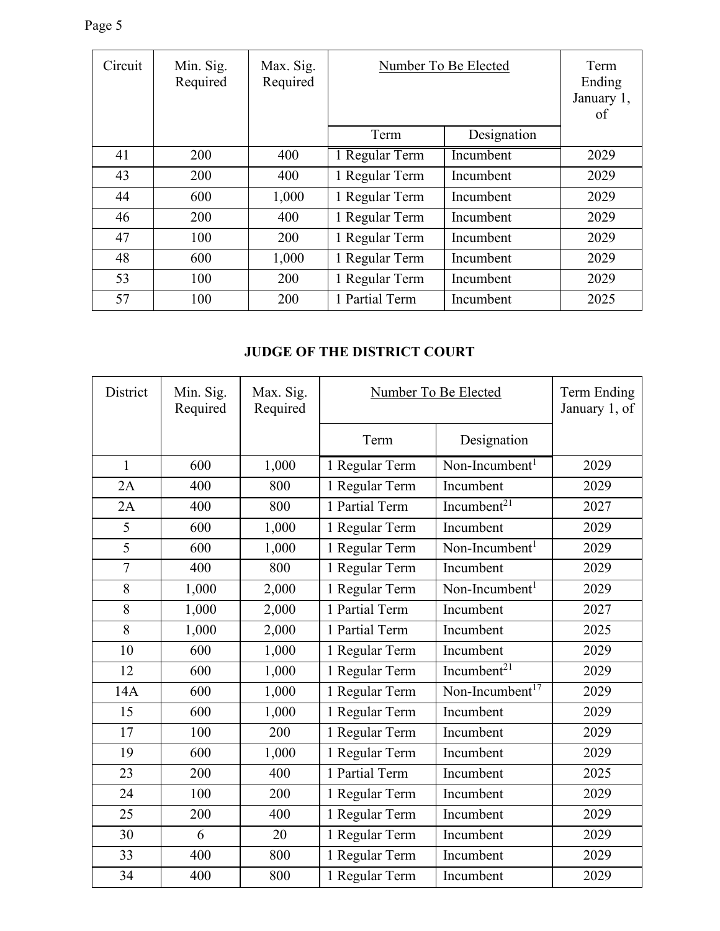| Circuit | Min. Sig.<br>Required | Max. Sig.<br>Required | Number To Be Elected |             | Term<br>Ending<br>January 1,<br>of |
|---------|-----------------------|-----------------------|----------------------|-------------|------------------------------------|
|         |                       |                       | Term                 | Designation |                                    |
| 41      | <b>200</b>            | 400                   | 1 Regular Term       | Incumbent   | 2029                               |
| 43      | 200                   | 400                   | 1 Regular Term       | Incumbent   | 2029                               |
| 44      | 600                   | 1,000                 | 1 Regular Term       | Incumbent   | 2029                               |
| 46      | 200                   | 400                   | 1 Regular Term       | Incumbent   | 2029                               |
| 47      | 100                   | 200                   | 1 Regular Term       | Incumbent   | 2029                               |
| 48      | 600                   | 1,000                 | 1 Regular Term       | Incumbent   | 2029                               |
| 53      | 100                   | 200                   | 1 Regular Term       | Incumbent   | 2029                               |
| 57      | 100                   | 200                   | 1 Partial Term       | Incumbent   | 2025                               |

# **JUDGE OF THE DISTRICT COURT**

| District       | Min. Sig.<br>Required | Max. Sig.<br>Required | Number To Be Elected |                             | Term Ending<br>January 1, of |
|----------------|-----------------------|-----------------------|----------------------|-----------------------------|------------------------------|
|                |                       |                       | Term                 | Designation                 |                              |
| $\mathbf{1}$   | 600                   | 1,000                 | 1 Regular Term       | Non-Incumbent <sup>1</sup>  | 2029                         |
| 2A             | 400                   | 800                   | 1 Regular Term       | Incumbent                   | 2029                         |
| 2A             | 400                   | 800                   | 1 Partial Term       | Incumbent $21$              | 2027                         |
| 5              | 600                   | 1,000                 | 1 Regular Term       | Incumbent                   | 2029                         |
| $\overline{5}$ | 600                   | 1,000                 | 1 Regular Term       | Non-Incumbent <sup>1</sup>  | 2029                         |
| $\overline{7}$ | 400                   | 800                   | 1 Regular Term       | Incumbent                   | 2029                         |
| 8              | 1,000                 | 2,000                 | 1 Regular Term       | Non-Incumbent <sup>1</sup>  | 2029                         |
| 8              | 1,000                 | 2,000                 | 1 Partial Term       | Incumbent                   | 2027                         |
| 8              | 1,000                 | 2,000                 | 1 Partial Term       | Incumbent                   | 2025                         |
| 10             | 600                   | 1,000                 | 1 Regular Term       | Incumbent                   | 2029                         |
| 12             | 600                   | 1,000                 | 1 Regular Term       | Incumbent <sup>21</sup>     | 2029                         |
| 14A            | 600                   | 1,000                 | 1 Regular Term       | Non-Incumbent <sup>17</sup> | 2029                         |
| 15             | 600                   | 1,000                 | 1 Regular Term       | Incumbent                   | 2029                         |
| 17             | 100                   | 200                   | 1 Regular Term       | Incumbent                   | 2029                         |
| 19             | 600                   | 1,000                 | 1 Regular Term       | Incumbent                   | 2029                         |
| 23             | 200                   | 400                   | 1 Partial Term       | Incumbent                   | 2025                         |
| 24             | 100                   | 200                   | 1 Regular Term       | Incumbent                   | 2029                         |
| 25             | 200                   | 400                   | 1 Regular Term       | Incumbent                   | 2029                         |
| 30             | 6                     | 20                    | 1 Regular Term       | Incumbent                   | 2029                         |
| 33             | 400                   | 800                   | 1 Regular Term       | Incumbent                   | 2029                         |
| 34             | 400                   | 800                   | 1 Regular Term       | Incumbent                   | 2029                         |

Page 5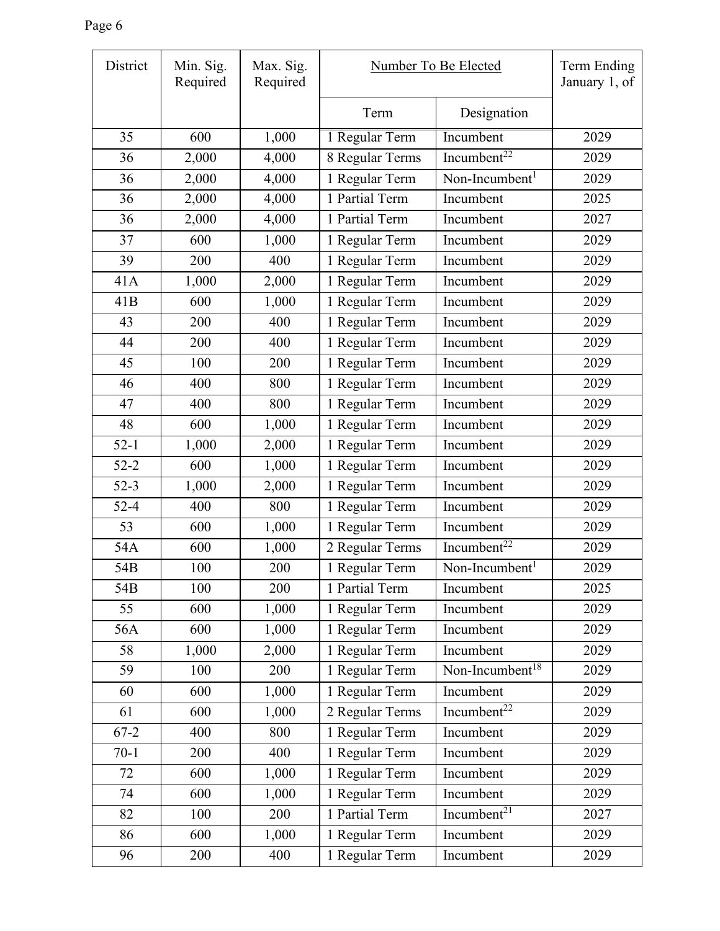r

| District | Min. Sig.<br>Required | Max. Sig.<br>Required | Number To Be Elected |                             | Term Ending<br>January 1, of |
|----------|-----------------------|-----------------------|----------------------|-----------------------------|------------------------------|
|          |                       |                       | Term                 | Designation                 |                              |
| 35       | 600                   | 1,000                 | 1 Regular Term       | Incumbent                   | 2029                         |
| 36       | 2,000                 | 4,000                 | 8 Regular Terms      | Incumbent <sup>22</sup>     | 2029                         |
| 36       | 2,000                 | 4,000                 | 1 Regular Term       | Non-Incumbent <sup>1</sup>  | 2029                         |
| 36       | 2,000                 | 4,000                 | 1 Partial Term       | Incumbent                   | 2025                         |
| 36       | 2,000                 | 4,000                 | 1 Partial Term       | Incumbent                   | 2027                         |
| 37       | 600                   | 1,000                 | 1 Regular Term       | Incumbent                   | 2029                         |
| 39       | 200                   | 400                   | 1 Regular Term       | Incumbent                   | 2029                         |
| 41A      | 1,000                 | 2,000                 | 1 Regular Term       | Incumbent                   | 2029                         |
| 41B      | 600                   | 1,000                 | 1 Regular Term       | Incumbent                   | 2029                         |
| 43       | 200                   | 400                   | 1 Regular Term       | Incumbent                   | 2029                         |
| 44       | 200                   | 400                   | 1 Regular Term       | Incumbent                   | 2029                         |
| 45       | 100                   | 200                   | 1 Regular Term       | Incumbent                   | 2029                         |
| 46       | 400                   | 800                   | 1 Regular Term       | Incumbent                   | 2029                         |
| 47       | 400                   | 800                   | 1 Regular Term       | Incumbent                   | 2029                         |
| 48       | 600                   | 1,000                 | 1 Regular Term       | Incumbent                   | 2029                         |
| $52 - 1$ | 1,000                 | 2,000                 | 1 Regular Term       | Incumbent                   | 2029                         |
| $52 - 2$ | 600                   | 1,000                 | 1 Regular Term       | Incumbent                   | 2029                         |
| $52 - 3$ | 1,000                 | 2,000                 | 1 Regular Term       | Incumbent                   | 2029                         |
| $52 - 4$ | 400                   | 800                   | 1 Regular Term       | Incumbent                   | 2029                         |
| 53       | 600                   | 1,000                 | 1 Regular Term       | Incumbent                   | 2029                         |
| 54A      | 600                   | 1,000                 | 2 Regular Terms      | Incumbent <sup>22</sup>     | 2029                         |
| 54B      | 100                   | 200                   | 1 Regular Term       | Non-Incumbent <sup>1</sup>  | 2029                         |
| 54B      | 100                   | 200                   | 1 Partial Term       | Incumbent                   | 2025                         |
| 55       | 600                   | 1,000                 | 1 Regular Term       | Incumbent                   | 2029                         |
| 56A      | 600                   | 1,000                 | 1 Regular Term       | Incumbent                   | 2029                         |
| 58       | 1,000                 | 2,000                 | 1 Regular Term       | Incumbent                   | 2029                         |
| 59       | 100                   | 200                   | 1 Regular Term       | Non-Incumbent <sup>18</sup> | 2029                         |
| 60       | 600                   | 1,000                 | 1 Regular Term       | Incumbent                   | 2029                         |
| 61       | 600                   | 1,000                 | 2 Regular Terms      | Incumbent <sup>22</sup>     | 2029                         |
| $67 - 2$ | 400                   | 800                   | 1 Regular Term       | Incumbent                   | 2029                         |
| $70-1$   | 200                   | 400                   | 1 Regular Term       | Incumbent                   | 2029                         |
| 72       | 600                   | 1,000                 | 1 Regular Term       | Incumbent                   | 2029                         |
| 74       | 600                   | 1,000                 | 1 Regular Term       | Incumbent                   | 2029                         |
| 82       | 100                   | 200                   | 1 Partial Term       | Incumbent $^{21}$           | 2027                         |
| 86       | 600                   | 1,000                 | 1 Regular Term       | Incumbent                   | 2029                         |
| 96       | 200                   | 400                   | 1 Regular Term       | Incumbent                   | 2029                         |